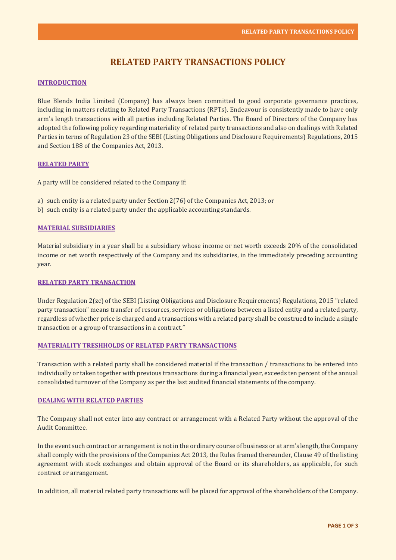# **RELATED PARTY TRANSACTIONS POLICY**

# **INTRODUCTION**

Blue Blends India Limited (Company) has always been committed to good corporate governance practices, including in matters relating to Related Party Transactions (RPTs). Endeavour is consistently made to have only arm's length transactions with all parties including Related Parties. The Board of Directors of the Company has adopted the following policy regarding materiality of related party transactions and also on dealings with Related Parties in terms of Regulation 23 of the SEBI (Listing Obligations and Disclosure Requirements) Regulations, 2015 and Section 188 of the Companies Act, 2013.

# **RELATED PARTY**

A party will be considered related to the Company if:

- a) such entity is a related party under Section 2(76) of the Companies Act, 2013; or
- b) such entity is a related party under the applicable accounting standards.

# **MATERIAL SUBSIDIARIES**

Material subsidiary in a year shall be a subsidiary whose income or net worth exceeds 20% of the consolidated income or net worth respectively of the Company and its subsidiaries, in the immediately preceding accounting year.

# **RELATED PARTY TRANSACTION**

Under Regulation 2(zc) of the SEBI (Listing Obligations and Disclosure Requirements) Regulations, 2015 "related party transaction" means transfer of resources, services or obligations between a listed entity and a related party, regardless of whether price is charged and a transactions with a related party shall be construed to include a single transaction or a group of transactions in a contract."

# **MATERIALITY TRESHHOLDS OF RELATED PARTY TRANSACTIONS**

Transaction with a related party shall be considered material if the transaction / transactions to be entered into individually or taken together with previous transactions during a financial year, exceeds ten percent of the annual consolidated turnover of the Company as per the last audited financial statements of the company.

#### **DEALING WITH RELATED PARTIES**

The Company shall not enter into any contract or arrangement with a Related Party without the approval of the Audit Committee.

In the event such contract or arrangement is not in the ordinary course of business or at arm's length, the Company shall comply with the provisions of the Companies Act 2013, the Rules framed thereunder, Clause 49 of the listing agreement with stock exchanges and obtain approval of the Board or its shareholders, as applicable, for such contract or arrangement.

In addition, all material related party transactions will be placed for approval of the shareholders of the Company.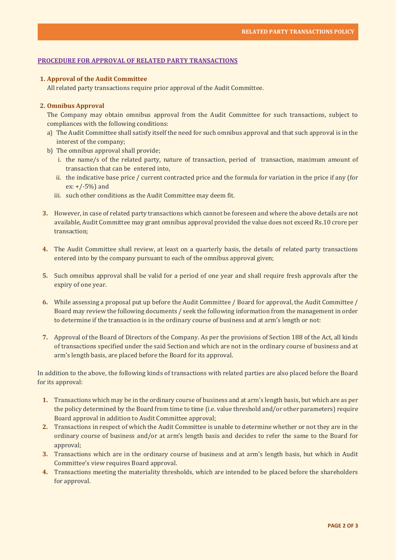# **PROCEDURE FOR APPROVAL OF RELATED PARTY TRANSACTIONS**

# **1. Approval of the Audit Committee**

All related party transactions require prior approval of the Audit Committee.

# **2. Omnibus Approval**

The Company may obtain omnibus approval from the Audit Committee for such transactions, subject to compliances with the following conditions:

- a) The Audit Committee shall satisfy itself the need for such omnibus approval and that such approval is in the interest of the company;
- b) The omnibus approval shall provide;
	- i. the name/s of the related party, nature of transaction, period of transaction, maximum amount of transaction that can be entered into,
	- ii. the indicative base price / current contracted price and the formula for variation in the price if any (for ex: +/-5%) and
	- iii. such other conditions as the Audit Committee may deem fit.
- **3.** However, in case of related party transactions which cannot be foreseen and where the above details are not available, Audit Committee may grant omnibus approval provided the value does not exceed Rs.10 crore per transaction;
- **4.** The Audit Committee shall review, at least on a quarterly basis, the details of related party transactions entered into by the company pursuant to each of the omnibus approval given;
- **5.** Such omnibus approval shall be valid for a period of one year and shall require fresh approvals after the expiry of one year.
- **6.** While assessing a proposal put up before the Audit Committee / Board for approval, the Audit Committee / Board may review the following documents / seek the following information from the management in order to determine if the transaction is in the ordinary course of business and at arm's length or not:
- **7.** Approval of the Board of Directors of the Company. As per the provisions of Section 188 of the Act, all kinds of transactions specified under the said Section and which are not in the ordinary course of business and at arm's length basis, are placed before the Board for its approval.

In addition to the above, the following kinds of transactions with related parties are also placed before the Board for its approval:

- **1.** Transactions which may be in the ordinary course of business and at arm's length basis, but which are as per the policy determined by the Board from time to time (i.e. value threshold and/or other parameters) require Board approval in addition to Audit Committee approval;
- **2.** Transactions in respect of which the Audit Committee is unable to determine whether or not they are in the ordinary course of business and/or at arm's length basis and decides to refer the same to the Board for approval;
- **3.** Transactions which are in the ordinary course of business and at arm's length basis, but which in Audit Committee's view requires Board approval.
- **4.** Transactions meeting the materiality thresholds, which are intended to be placed before the shareholders for approval.